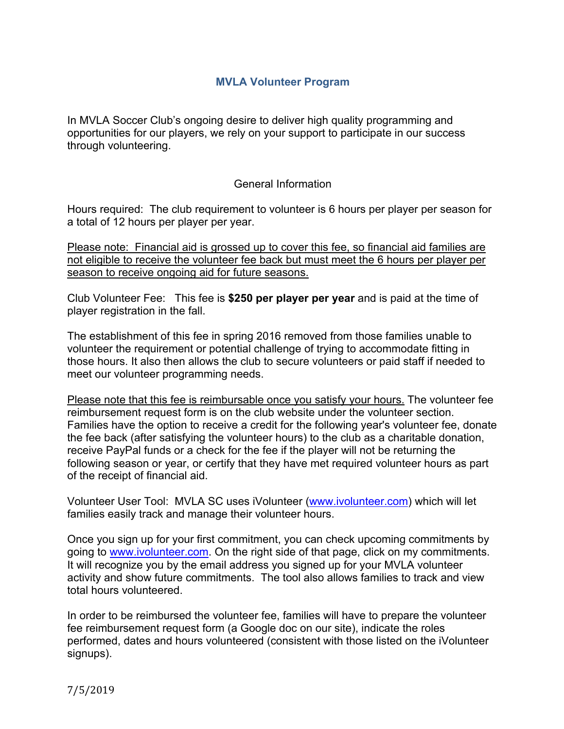#### **MVLA Volunteer Program**

In MVLA Soccer Club's ongoing desire to deliver high quality programming and opportunities for our players, we rely on your support to participate in our success through volunteering.

#### General Information

Hours required: The club requirement to volunteer is 6 hours per player per season for a total of 12 hours per player per year.

Please note: Financial aid is grossed up to cover this fee, so financial aid families are not eligible to receive the volunteer fee back but must meet the 6 hours per player per season to receive ongoing aid for future seasons.

Club Volunteer Fee: This fee is **\$250 per player per year** and is paid at the time of player registration in the fall.

The establishment of this fee in spring 2016 removed from those families unable to volunteer the requirement or potential challenge of trying to accommodate fitting in those hours. It also then allows the club to secure volunteers or paid staff if needed to meet our volunteer programming needs.

Please note that this fee is reimbursable once you satisfy your hours. The volunteer fee reimbursement request form is on the club website under the volunteer section. Families have the option to receive a credit for the following year's volunteer fee, donate the fee back (after satisfying the volunteer hours) to the club as a charitable donation, receive PayPal funds or a check for the fee if the player will not be returning the following season or year, or certify that they have met required volunteer hours as part of the receipt of financial aid.

Volunteer User Tool: MVLA SC uses iVolunteer (www.ivolunteer.com) which will let families easily track and manage their volunteer hours.

Once you sign up for your first commitment, you can check upcoming commitments by going to www.ivolunteer.com. On the right side of that page, click on my commitments. It will recognize you by the email address you signed up for your MVLA volunteer activity and show future commitments. The tool also allows families to track and view total hours volunteered.

In order to be reimbursed the volunteer fee, families will have to prepare the volunteer fee reimbursement request form (a Google doc on our site), indicate the roles performed, dates and hours volunteered (consistent with those listed on the iVolunteer signups).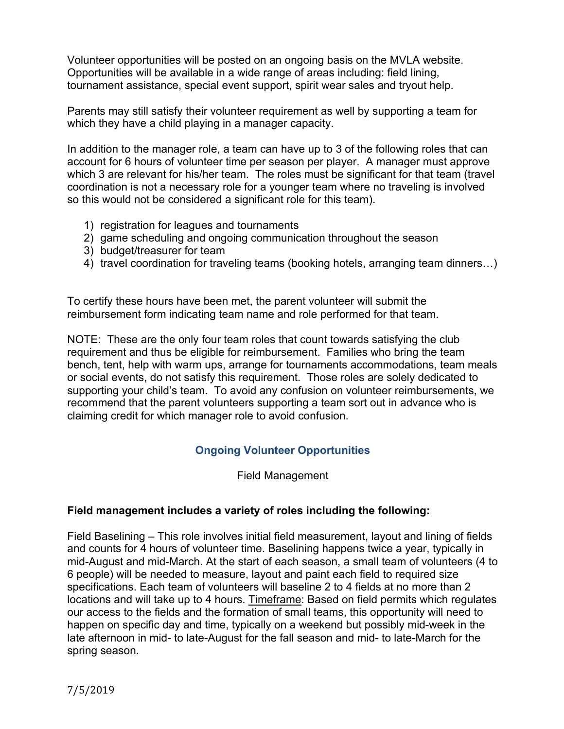Volunteer opportunities will be posted on an ongoing basis on the MVLA website. Opportunities will be available in a wide range of areas including: field lining, tournament assistance, special event support, spirit wear sales and tryout help.

Parents may still satisfy their volunteer requirement as well by supporting a team for which they have a child playing in a manager capacity.

In addition to the manager role, a team can have up to 3 of the following roles that can account for 6 hours of volunteer time per season per player. A manager must approve which 3 are relevant for his/her team. The roles must be significant for that team (travel coordination is not a necessary role for a younger team where no traveling is involved so this would not be considered a significant role for this team).

- 1) registration for leagues and tournaments
- 2) game scheduling and ongoing communication throughout the season
- 3) budget/treasurer for team
- 4) travel coordination for traveling teams (booking hotels, arranging team dinners…)

To certify these hours have been met, the parent volunteer will submit the reimbursement form indicating team name and role performed for that team.

NOTE: These are the only four team roles that count towards satisfying the club requirement and thus be eligible for reimbursement. Families who bring the team bench, tent, help with warm ups, arrange for tournaments accommodations, team meals or social events, do not satisfy this requirement. Those roles are solely dedicated to supporting your child's team. To avoid any confusion on volunteer reimbursements, we recommend that the parent volunteers supporting a team sort out in advance who is claiming credit for which manager role to avoid confusion.

# **Ongoing Volunteer Opportunities**

Field Management

### **Field management includes a variety of roles including the following:**

Field Baselining – This role involves initial field measurement, layout and lining of fields and counts for 4 hours of volunteer time. Baselining happens twice a year, typically in mid-August and mid-March. At the start of each season, a small team of volunteers (4 to 6 people) will be needed to measure, layout and paint each field to required size specifications. Each team of volunteers will baseline 2 to 4 fields at no more than 2 locations and will take up to 4 hours. Timeframe: Based on field permits which regulates our access to the fields and the formation of small teams, this opportunity will need to happen on specific day and time, typically on a weekend but possibly mid-week in the late afternoon in mid- to late-August for the fall season and mid- to late-March for the spring season.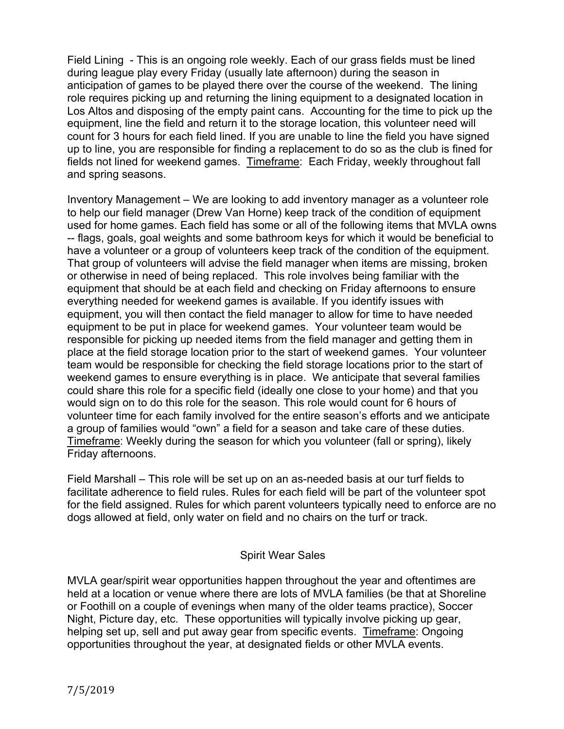Field Lining - This is an ongoing role weekly. Each of our grass fields must be lined during league play every Friday (usually late afternoon) during the season in anticipation of games to be played there over the course of the weekend. The lining role requires picking up and returning the lining equipment to a designated location in Los Altos and disposing of the empty paint cans. Accounting for the time to pick up the equipment, line the field and return it to the storage location, this volunteer need will count for 3 hours for each field lined. If you are unable to line the field you have signed up to line, you are responsible for finding a replacement to do so as the club is fined for fields not lined for weekend games. Timeframe: Each Friday, weekly throughout fall and spring seasons.

Inventory Management – We are looking to add inventory manager as a volunteer role to help our field manager (Drew Van Horne) keep track of the condition of equipment used for home games. Each field has some or all of the following items that MVLA owns -- flags, goals, goal weights and some bathroom keys for which it would be beneficial to have a volunteer or a group of volunteers keep track of the condition of the equipment. That group of volunteers will advise the field manager when items are missing, broken or otherwise in need of being replaced. This role involves being familiar with the equipment that should be at each field and checking on Friday afternoons to ensure everything needed for weekend games is available. If you identify issues with equipment, you will then contact the field manager to allow for time to have needed equipment to be put in place for weekend games. Your volunteer team would be responsible for picking up needed items from the field manager and getting them in place at the field storage location prior to the start of weekend games. Your volunteer team would be responsible for checking the field storage locations prior to the start of weekend games to ensure everything is in place. We anticipate that several families could share this role for a specific field (ideally one close to your home) and that you would sign on to do this role for the season. This role would count for 6 hours of volunteer time for each family involved for the entire season's efforts and we anticipate a group of families would "own" a field for a season and take care of these duties. Timeframe: Weekly during the season for which you volunteer (fall or spring), likely Friday afternoons.

Field Marshall – This role will be set up on an as-needed basis at our turf fields to facilitate adherence to field rules. Rules for each field will be part of the volunteer spot for the field assigned. Rules for which parent volunteers typically need to enforce are no dogs allowed at field, only water on field and no chairs on the turf or track.

### Spirit Wear Sales

MVLA gear/spirit wear opportunities happen throughout the year and oftentimes are held at a location or venue where there are lots of MVLA families (be that at Shoreline or Foothill on a couple of evenings when many of the older teams practice), Soccer Night, Picture day, etc. These opportunities will typically involve picking up gear, helping set up, sell and put away gear from specific events. Timeframe: Ongoing opportunities throughout the year, at designated fields or other MVLA events.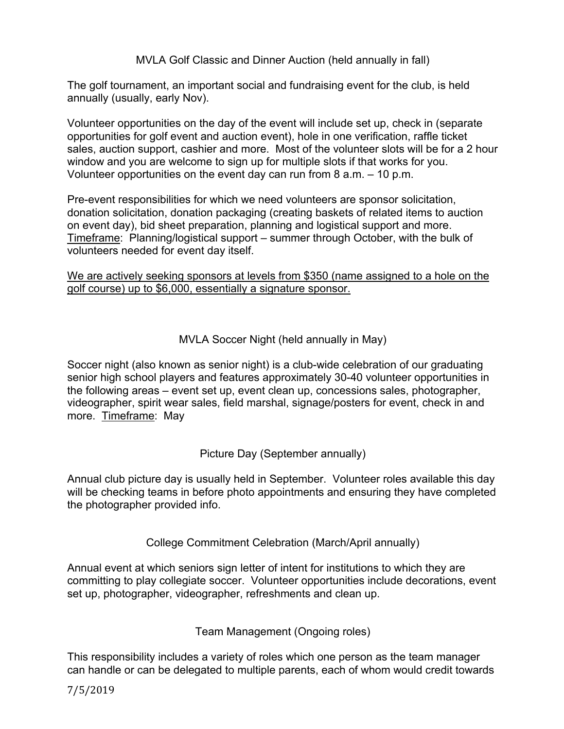MVLA Golf Classic and Dinner Auction (held annually in fall)

The golf tournament, an important social and fundraising event for the club, is held annually (usually, early Nov).

Volunteer opportunities on the day of the event will include set up, check in (separate opportunities for golf event and auction event), hole in one verification, raffle ticket sales, auction support, cashier and more. Most of the volunteer slots will be for a 2 hour window and you are welcome to sign up for multiple slots if that works for you. Volunteer opportunities on the event day can run from 8 a.m. – 10 p.m.

Pre-event responsibilities for which we need volunteers are sponsor solicitation, donation solicitation, donation packaging (creating baskets of related items to auction on event day), bid sheet preparation, planning and logistical support and more. Timeframe: Planning/logistical support – summer through October, with the bulk of volunteers needed for event day itself.

We are actively seeking sponsors at levels from \$350 (name assigned to a hole on the golf course) up to \$6,000, essentially a signature sponsor.

MVLA Soccer Night (held annually in May)

Soccer night (also known as senior night) is a club-wide celebration of our graduating senior high school players and features approximately 30-40 volunteer opportunities in the following areas – event set up, event clean up, concessions sales, photographer, videographer, spirit wear sales, field marshal, signage/posters for event, check in and more. Timeframe: May

Picture Day (September annually)

Annual club picture day is usually held in September. Volunteer roles available this day will be checking teams in before photo appointments and ensuring they have completed the photographer provided info.

College Commitment Celebration (March/April annually)

Annual event at which seniors sign letter of intent for institutions to which they are committing to play collegiate soccer. Volunteer opportunities include decorations, event set up, photographer, videographer, refreshments and clean up.

Team Management (Ongoing roles)

This responsibility includes a variety of roles which one person as the team manager can handle or can be delegated to multiple parents, each of whom would credit towards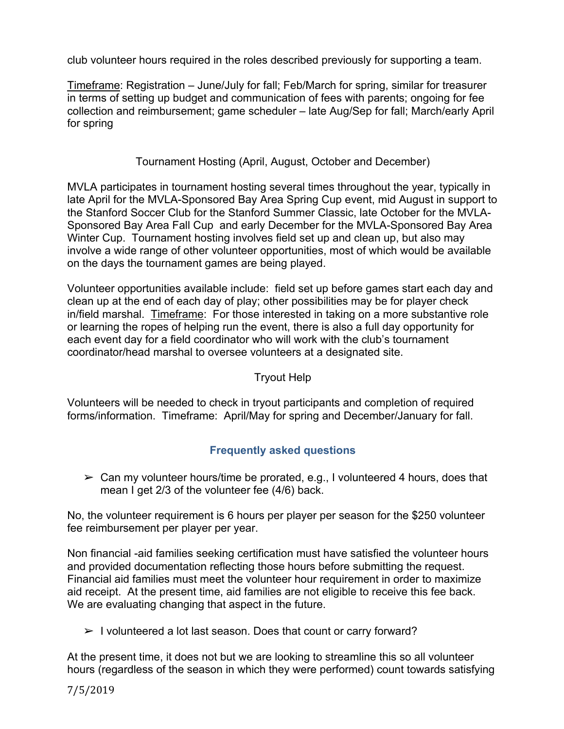club volunteer hours required in the roles described previously for supporting a team.

Timeframe: Registration – June/July for fall; Feb/March for spring, similar for treasurer in terms of setting up budget and communication of fees with parents; ongoing for fee collection and reimbursement; game scheduler – late Aug/Sep for fall; March/early April for spring

## Tournament Hosting (April, August, October and December)

MVLA participates in tournament hosting several times throughout the year, typically in late April for the MVLA-Sponsored Bay Area Spring Cup event, mid August in support to the Stanford Soccer Club for the Stanford Summer Classic, late October for the MVLA-Sponsored Bay Area Fall Cup and early December for the MVLA-Sponsored Bay Area Winter Cup. Tournament hosting involves field set up and clean up, but also may involve a wide range of other volunteer opportunities, most of which would be available on the days the tournament games are being played.

Volunteer opportunities available include: field set up before games start each day and clean up at the end of each day of play; other possibilities may be for player check in/field marshal. Timeframe: For those interested in taking on a more substantive role or learning the ropes of helping run the event, there is also a full day opportunity for each event day for a field coordinator who will work with the club's tournament coordinator/head marshal to oversee volunteers at a designated site.

## Tryout Help

Volunteers will be needed to check in tryout participants and completion of required forms/information. Timeframe: April/May for spring and December/January for fall.

# **Frequently asked questions**

 $\geq$  Can my volunteer hours/time be prorated, e.g., I volunteered 4 hours, does that mean I get 2/3 of the volunteer fee (4/6) back.

No, the volunteer requirement is 6 hours per player per season for the \$250 volunteer fee reimbursement per player per year.

Non financial -aid families seeking certification must have satisfied the volunteer hours and provided documentation reflecting those hours before submitting the request. Financial aid families must meet the volunteer hour requirement in order to maximize aid receipt. At the present time, aid families are not eligible to receive this fee back. We are evaluating changing that aspect in the future.

 $\triangleright$  I volunteered a lot last season. Does that count or carry forward?

At the present time, it does not but we are looking to streamline this so all volunteer hours (regardless of the season in which they were performed) count towards satisfying